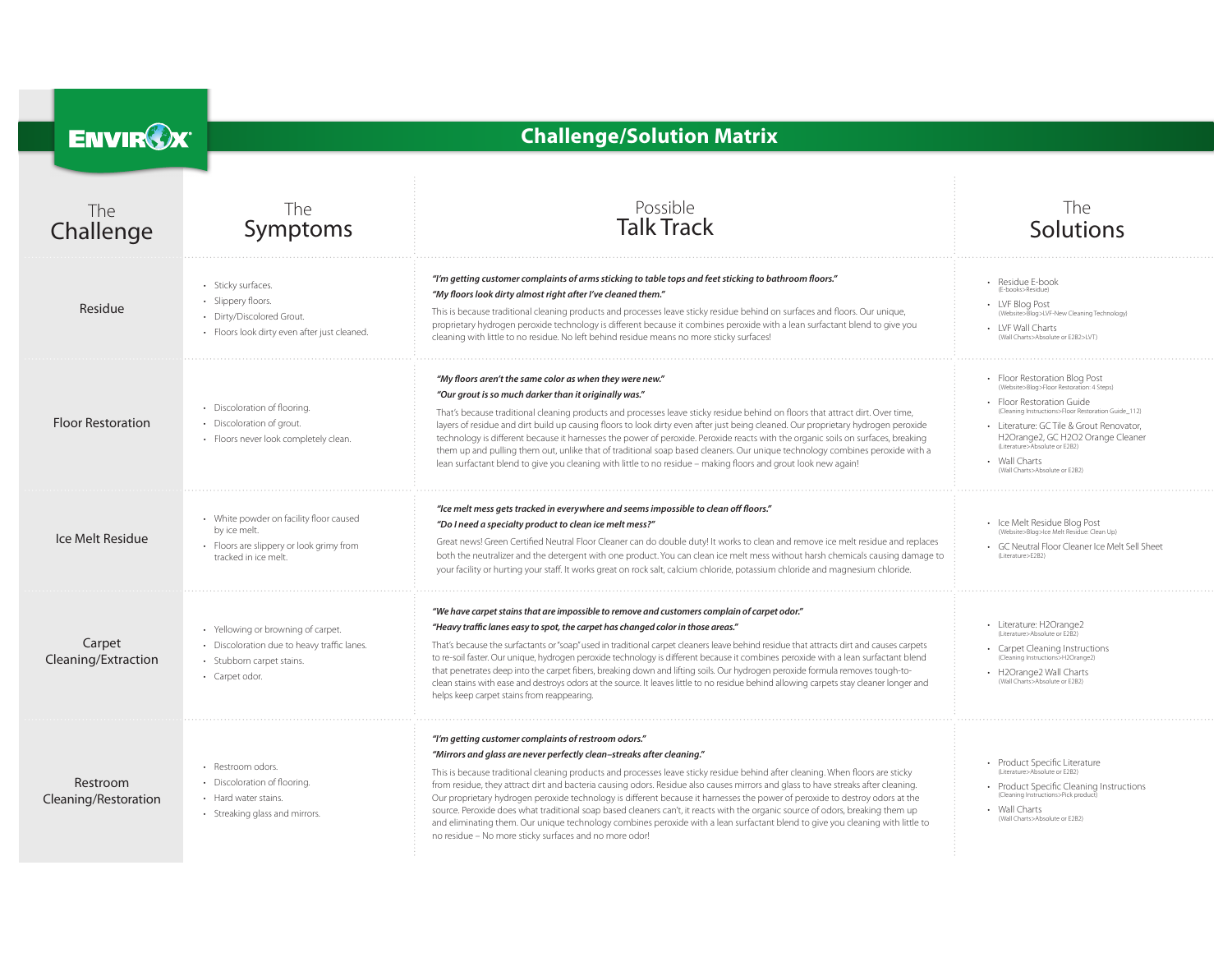| <b>ENVIROX</b>                   | <b>Challenge/Solution Matrix</b>                                                                                                 |                                                                                                                                                                                                                                                                                                                                                                                                                                                                                                                                                                                                                                                                                                                                                                                                                                                                    |                                                                                                                                                                                                                                                                                                                              |
|----------------------------------|----------------------------------------------------------------------------------------------------------------------------------|--------------------------------------------------------------------------------------------------------------------------------------------------------------------------------------------------------------------------------------------------------------------------------------------------------------------------------------------------------------------------------------------------------------------------------------------------------------------------------------------------------------------------------------------------------------------------------------------------------------------------------------------------------------------------------------------------------------------------------------------------------------------------------------------------------------------------------------------------------------------|------------------------------------------------------------------------------------------------------------------------------------------------------------------------------------------------------------------------------------------------------------------------------------------------------------------------------|
| The<br>Challenge                 | The<br>Symptoms                                                                                                                  | Possible<br><b>Talk Track</b>                                                                                                                                                                                                                                                                                                                                                                                                                                                                                                                                                                                                                                                                                                                                                                                                                                      | <b>The</b><br>Solutions                                                                                                                                                                                                                                                                                                      |
| Residue                          | · Sticky surfaces.<br>· Slippery floors.<br>• Dirty/Discolored Grout.<br>· Floors look dirty even after just cleaned.            | "I'm getting customer complaints of arms sticking to table tops and feet sticking to bathroom floors."<br>"My floors look dirty almost right after I've cleaned them."<br>This is because traditional cleaning products and processes leave sticky residue behind on surfaces and floors. Our unique,<br>proprietary hydrogen peroxide technology is different because it combines peroxide with a lean surfactant blend to give you<br>cleaning with little to no residue. No left behind residue means no more sticky surfaces!                                                                                                                                                                                                                                                                                                                                  | Residue E-book<br>(E-books>Residue)<br>LVF Blog Post<br>(Website>Blog>LVF-New Cleaning Technology)<br>LVF Wall Charts<br>(Wall Charts>Absolute or E2B2>LVT)                                                                                                                                                                  |
| <b>Floor Restoration</b>         | • Discoloration of flooring.<br>• Discoloration of grout.<br>· Floors never look completely clean.                               | "My floors aren't the same color as when they were new."<br>"Our grout is so much darker than it originally was."<br>That's because traditional cleaning products and processes leave sticky residue behind on floors that attract dirt. Over time,<br>layers of residue and dirt build up causing floors to look dirty even after just being cleaned. Our proprietary hydrogen peroxide<br>technology is different because it harnesses the power of peroxide. Peroxide reacts with the organic soils on surfaces, breaking<br>them up and pulling them out, unlike that of traditional soap based cleaners. Our unique technology combines peroxide with a<br>lean surfactant blend to give you cleaning with little to no residue - making floors and grout look new again!                                                                                     | Floor Restoration Blog Post<br>(Website>Blog>Floor Restoration: 4 Steps)<br>Floor Restoration Guide<br>(Cleaning Instructions>Floor Restoration Guide_112)<br>· Literature: GC Tile & Grout Renovator,<br>H2Orange2, GC H2O2 Orange Cleaner<br>(Literature>Absolute or E2B2)<br>Wall Charts<br>(Wall Charts>Absolute or E2B2 |
| Ice Melt Residue                 | • White powder on facility floor caused<br>by ice melt.<br>• Floors are slippery or look grimy from<br>tracked in ice melt.      | "Ice melt mess gets tracked in everywhere and seems impossible to clean off floors."<br>"Do I need a specialty product to clean ice melt mess?"<br>Great news! Green Certified Neutral Floor Cleaner can do double duty! It works to clean and remove ice melt residue and replaces<br>both the neutralizer and the detergent with one product. You can clean ice melt mess without harsh chemicals causing damage to<br>your facility or hurting your staff. It works great on rock salt, calcium chloride, potassium chloride and magnesium chloride.                                                                                                                                                                                                                                                                                                            | • Ice Melt Residue Blog Post<br>(Website>Blog>Ice Melt Residue: Clean Up)<br>· GC Neutral Floor Cleaner Ice Melt Sell Sheet<br>(Literature>E2B2)                                                                                                                                                                             |
| Carpet<br>Cleaning/Extraction    | • Yellowing or browning of carpet.<br>• Discoloration due to heavy traffic lanes.<br>· Stubborn carpet stains.<br>• Carpet odor. | "We have carpet stains that are impossible to remove and customers complain of carpet odor."<br>"Heavy traffic lanes easy to spot, the carpet has changed color in those areas."<br>That's because the surfactants or "soap" used in traditional carpet cleaners leave behind residue that attracts dirt and causes carpets<br>to re-soil faster. Our unique, hydrogen peroxide technology is different because it combines peroxide with a lean surfactant blend<br>that penetrates deep into the carpet fibers, breaking down and lifting soils. Our hydrogen peroxide formula removes tough-to-<br>clean stains with ease and destroys odors at the source. It leaves little to no residue behind allowing carpets stay cleaner longer and<br>helps keep carpet stains from reappearing.                                                                        | Literature: H2Orange2<br>(Literature>Absolute or E2B2)<br>Carpet Cleaning Instructions<br>(Cleaning Instructions>H2Orange2)<br>H2Orange2 Wall Charts<br>Wall Charts>Absolute or F2B2)                                                                                                                                        |
| Restroom<br>Cleaning/Restoration | • Restroom odors.<br>• Discoloration of flooring.<br>• Hard water stains.<br>• Streaking glass and mirrors.                      | "I'm getting customer complaints of restroom odors."<br>"Mirrors and glass are never perfectly clean-streaks after cleaning."<br>This is because traditional cleaning products and processes leave sticky residue behind after cleaning. When floors are sticky<br>from residue, they attract dirt and bacteria causing odors. Residue also causes mirrors and glass to have streaks after cleaning.<br>Our proprietary hydrogen peroxide technology is different because it harnesses the power of peroxide to destroy odors at the<br>source. Peroxide does what traditional soap based cleaners can't, it reacts with the organic source of odors, breaking them up<br>and eliminating them. Our unique technology combines peroxide with a lean surfactant blend to give you cleaning with little to<br>no residue - No more sticky surfaces and no more odor! | Product Specific Literature<br>(Literature>Absolute or E2B2)<br>Product Specific Cleaning Instructions<br>(Cleaning Instructions>Pick product)<br>Wall Charts<br>(Wall Charts>Absolute or E2B2)                                                                                                                              |